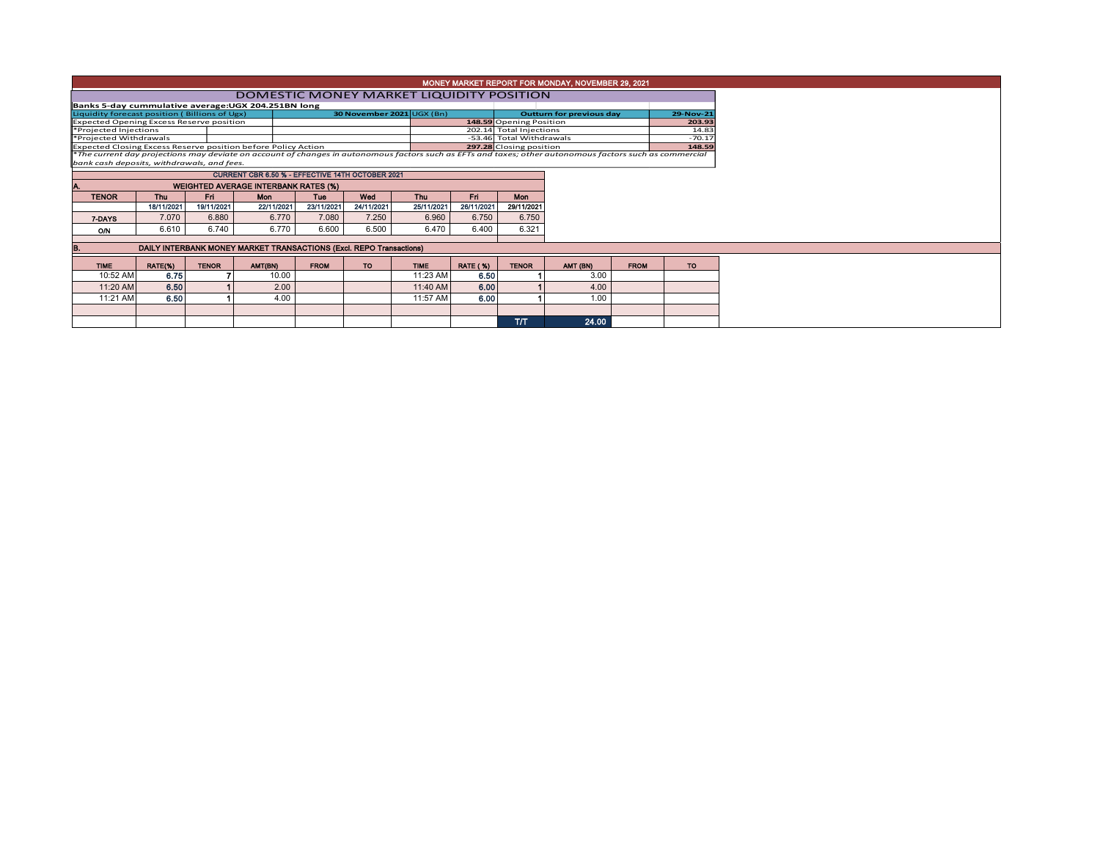| MONEY MARKET REPORT FOR MONDAY, NOVEMBER 29, 2021                                                                                                        |            |              |                                                                     |                                 |            |                         |                 |                         |                          |             |           |  |  |
|----------------------------------------------------------------------------------------------------------------------------------------------------------|------------|--------------|---------------------------------------------------------------------|---------------------------------|------------|-------------------------|-----------------|-------------------------|--------------------------|-------------|-----------|--|--|
| DOMESTIC MONEY MARKET LIQUIDITY POSITION                                                                                                                 |            |              |                                                                     |                                 |            |                         |                 |                         |                          |             |           |  |  |
| Banks 5-day cummulative average: UGX 204.251BN long                                                                                                      |            |              |                                                                     |                                 |            |                         |                 |                         |                          |             |           |  |  |
| Liquidity forecast position (Billions of Ugx)                                                                                                            |            |              |                                                                     | <b>Outturn for previous day</b> |            | 29-Nov-21               |                 |                         |                          |             |           |  |  |
| <b>Expected Opening Excess Reserve position</b>                                                                                                          |            |              |                                                                     |                                 |            | 148.59 Opening Position |                 | 203.93                  |                          |             |           |  |  |
| *Projected Injections                                                                                                                                    |            |              |                                                                     |                                 |            |                         |                 |                         | 202.14 Total Injections  |             |           |  |  |
| *Projected Withdrawals                                                                                                                                   |            |              |                                                                     |                                 |            |                         |                 |                         | -53.46 Total Withdrawals |             |           |  |  |
| Expected Closing Excess Reserve position before Policy Action                                                                                            |            |              |                                                                     |                                 |            |                         |                 | 297.28 Closing position | 148.59                   |             |           |  |  |
| *The current day projections may deviate on account of changes in autonomous factors such as EFTs and taxes; other autonomous factors such as commercial |            |              |                                                                     |                                 |            |                         |                 |                         |                          |             |           |  |  |
| bank cash deposits, withdrawals, and fees.                                                                                                               |            |              |                                                                     |                                 |            |                         |                 |                         |                          |             |           |  |  |
|                                                                                                                                                          |            |              | CURRENT CBR 6.50 % - EFFECTIVE 14TH OCTOBER 2021                    |                                 |            |                         |                 |                         |                          |             |           |  |  |
|                                                                                                                                                          |            |              | <b>WEIGHTED AVERAGE INTERBANK RATES (%)</b>                         |                                 |            |                         |                 |                         |                          |             |           |  |  |
| <b>TENOR</b>                                                                                                                                             | <b>Thu</b> | Fri.         | Mon                                                                 | Tue                             | Wed        | <b>Thu</b>              | Fri             | <b>Mon</b>              |                          |             |           |  |  |
|                                                                                                                                                          | 18/11/2021 | 19/11/2021   | 22/11/2021                                                          | 23/11/2021                      | 24/11/2021 | 25/11/2021              | 26/11/2021      | 29/11/2021              |                          |             |           |  |  |
| 7-DAYS                                                                                                                                                   | 7.070      | 6.880        | 6.770                                                               | 7.080                           | 7.250      | 6.960                   | 6.750           | 6.750                   |                          |             |           |  |  |
| ON                                                                                                                                                       | 6.610      | 6.740        | 6.770                                                               | 6.600                           | 6.500      | 6.470                   | 6.400           | 6.321                   |                          |             |           |  |  |
|                                                                                                                                                          |            |              |                                                                     |                                 |            |                         |                 |                         |                          |             |           |  |  |
|                                                                                                                                                          |            |              | DAILY INTERBANK MONEY MARKET TRANSACTIONS (Excl. REPO Transactions) |                                 |            |                         |                 |                         |                          |             |           |  |  |
| <b>TIME</b>                                                                                                                                              | RATE(%)    | <b>TENOR</b> | AMT(BN)                                                             | <b>FROM</b>                     | TO:        | <b>TIME</b>             | <b>RATE (%)</b> | <b>TENOR</b>            | AMT (BN)                 | <b>FROM</b> | <b>TO</b> |  |  |
| 10:52 AM                                                                                                                                                 | 6.75       |              | 10.00                                                               |                                 |            | 11:23 AM                | 6.50            |                         | 3.00                     |             |           |  |  |
| 11:20 AM                                                                                                                                                 | 6.50       |              | 2.00                                                                |                                 |            | 11:40 AM                | 6.00            |                         | 4.00                     |             |           |  |  |
| 11:21 AM                                                                                                                                                 | 6.50       |              | 4.00                                                                |                                 |            | 11:57 AM                | 6.00            |                         | 1.00                     |             |           |  |  |
|                                                                                                                                                          |            |              |                                                                     |                                 |            |                         |                 |                         |                          |             |           |  |  |
|                                                                                                                                                          |            |              |                                                                     |                                 |            |                         |                 | <b>T/T</b>              | 24.00                    |             |           |  |  |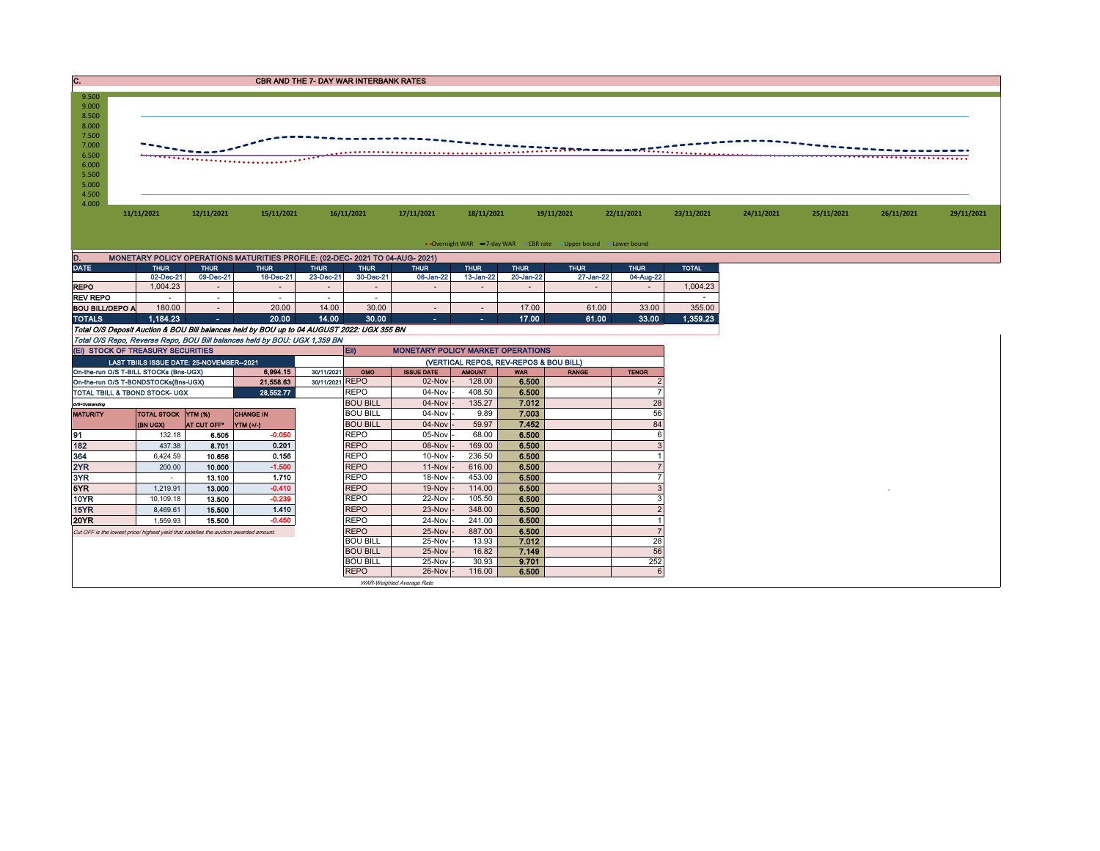| C.                                                                                                            | <b>CBR AND THE 7- DAY WAR INTERBANK RATES</b>                                         |                          |                                                                                            |                          |                            |                                          |                                        |                          |                          |                          |              |            |            |            |            |
|---------------------------------------------------------------------------------------------------------------|---------------------------------------------------------------------------------------|--------------------------|--------------------------------------------------------------------------------------------|--------------------------|----------------------------|------------------------------------------|----------------------------------------|--------------------------|--------------------------|--------------------------|--------------|------------|------------|------------|------------|
| 9.500<br>9.000<br>8.500<br>8.000<br>7.500<br>7.000<br>-----<br>6.500<br>,<br>6.000<br>5.500<br>5.000<br>4.500 |                                                                                       |                          |                                                                                            |                          |                            |                                          |                                        |                          |                          |                          |              |            |            |            |            |
| 4.000                                                                                                         | 11/11/2021                                                                            | 12/11/2021               | 15/11/2021                                                                                 |                          | 16/11/2021                 | 17/11/2021                               | 18/11/2021                             |                          | 19/11/2021               | 22/11/2021               | 23/11/2021   | 24/11/2021 | 25/11/2021 | 26/11/2021 | 29/11/2021 |
|                                                                                                               |                                                                                       |                          |                                                                                            |                          |                            |                                          |                                        |                          |                          |                          |              |            |            |            |            |
|                                                                                                               |                                                                                       |                          |                                                                                            |                          |                            |                                          |                                        |                          |                          |                          |              |            |            |            |            |
| • Overnight WAR -7-day WAR - CBR rate - Upper bound - Lower bound                                             |                                                                                       |                          |                                                                                            |                          |                            |                                          |                                        |                          |                          |                          |              |            |            |            |            |
| D.<br><b>DATE</b>                                                                                             |                                                                                       |                          | MONETARY POLICY OPERATIONS MATURITIES PROFILE: (02-DEC- 2021 TO 04-AUG- 2021)              |                          |                            |                                          |                                        |                          |                          |                          |              |            |            |            |            |
|                                                                                                               | <b>THUR</b><br>02-Dec-21                                                              | <b>THUR</b><br>09-Dec-21 | <b>THUR</b><br>16-Dec-21                                                                   | <b>THUR</b><br>23-Dec-21 | <b>THUR</b><br>30-Dec-21   | <b>THUR</b><br>06-Jan-22                 | <b>THUR</b><br>13-Jan-22               | <b>THUR</b><br>20-Jan-22 | <b>THUR</b><br>27-Jan-22 | <b>THUR</b><br>04-Aug-22 | <b>TOTAL</b> |            |            |            |            |
| <b>REPO</b>                                                                                                   | 1.004.23                                                                              | $\sim$                   | $\sim$                                                                                     | $\sim$                   | $\sim$                     | $\sim$                                   | $\sim$                                 | $\sim$                   | $\sim$                   | $\sim$                   | 1,004.23     |            |            |            |            |
| <b>REV REPO</b>                                                                                               | . п.                                                                                  | $\sim$                   | $\sim$                                                                                     | $\sim$                   | $\sim$                     |                                          |                                        |                          |                          |                          | $\sim$       |            |            |            |            |
| <b>BOU BILL/DEPO A</b>                                                                                        | 180.00                                                                                | $\sim$                   | 20.00                                                                                      | 14.00                    | 30.00                      | $\sim$                                   | $\sim$                                 | 17.00                    | 61.00                    | 33.00                    | 355.00       |            |            |            |            |
| <b>TOTALS</b>                                                                                                 | 1.184.23                                                                              | m.                       | 20.00                                                                                      | 14.00                    | 30.00                      | a.                                       | $\sim$                                 | 17.00                    | 61.00                    | 33.00                    | 1,359.23     |            |            |            |            |
|                                                                                                               |                                                                                       |                          | Total O/S Deposit Auction & BOU Bill balances held by BOU up to 04 AUGUST 2022: UGX 355 BN |                          |                            |                                          |                                        |                          |                          |                          |              |            |            |            |            |
|                                                                                                               |                                                                                       |                          | Total O/S Repo, Reverse Repo, BOU Bill balances held by BOU: UGX 1,359 BN                  |                          |                            |                                          |                                        |                          |                          |                          |              |            |            |            |            |
|                                                                                                               | (EI) STOCK OF TREASURY SECURITIES                                                     |                          |                                                                                            |                          | Eii)                       | <b>MONETARY POLICY MARKET OPERATIONS</b> |                                        |                          |                          |                          |              |            |            |            |            |
|                                                                                                               | LAST TBIILS ISSUE DATE: 25-NOVEMBER--2021                                             |                          |                                                                                            |                          |                            |                                          | (VERTICAL REPOS, REV-REPOS & BOU BILL) |                          |                          |                          |              |            |            |            |            |
|                                                                                                               | On-the-run O/S T-BILL STOCKs (Bns-UGX)                                                |                          | 6,994.15                                                                                   | 30/11/2021               | OMO                        | <b>ISSUE DATE</b>                        | <b>AMOUNT</b>                          | <b>WAR</b>               | <b>RANGE</b>             | <b>TENOR</b>             |              |            |            |            |            |
|                                                                                                               | On-the-run O/S T-BONDSTOCKs(Bns-UGX)                                                  |                          | 21,558.63                                                                                  | 30/11/2021 REPO          |                            | $02$ -Nov $-$                            | 128.00                                 | 6.500                    |                          | $\overline{2}$           |              |            |            |            |            |
|                                                                                                               | TOTAL TBILL & TBOND STOCK- UGX                                                        |                          | 28,552.77                                                                                  |                          | <b>REPO</b>                | $04$ -Nov $-$                            | 408.50                                 | 6.500                    |                          | $\overline{7}$           |              |            |            |            |            |
| O/S=Outstanding                                                                                               |                                                                                       |                          |                                                                                            | <b>BOU BILL</b>          | $04$ -Nov $-$              | 135.27                                   | 7.012                                  |                          | 28                       |                          |              |            |            |            |            |
| <b>MATURITY</b>                                                                                               | TOTAL STOCK   YTM (%)                                                                 |                          | <b>CHANGE IN</b>                                                                           |                          | <b>BOU BILL</b>            | 04-Nov                                   | 9.89                                   | 7.003                    |                          | 56                       |              |            |            |            |            |
|                                                                                                               | (BN UGX)                                                                              | AT CUT OFF*              | $YIM (+/-)$                                                                                |                          | <b>BOU BILL</b>            | $04$ -Nov $-$                            | 59.97                                  | 7.452                    |                          | 84                       |              |            |            |            |            |
| 91                                                                                                            | 132.18                                                                                | 6.505                    | $-0.050$                                                                                   |                          | <b>REPO</b>                | 05-Nov                                   | 68.00                                  | 6.500                    |                          | 6                        |              |            |            |            |            |
| 182                                                                                                           | 437.38                                                                                | 8.701                    | 0.201<br>0.156                                                                             |                          | <b>REPO</b>                | $08-Nov$ -                               | 169.00                                 | 6.500                    |                          | 3                        |              |            |            |            |            |
| 364                                                                                                           | 6,424.59                                                                              | 10.656                   | $-1.500$                                                                                   |                          | <b>REPO</b><br><b>REPO</b> | 10-Nov                                   | 236.50                                 | 6.500<br>6.500           |                          |                          |              |            |            |            |            |
| 2YR<br>3YR                                                                                                    | 200.00<br>$\sim$                                                                      | 10.000<br>13.100         | 1.710                                                                                      |                          | <b>REPO</b>                | $11-Nov$ -<br>18-Nov                     | 616.00<br>453.00                       | 6.500                    |                          |                          |              |            |            |            |            |
| 5YR                                                                                                           | 1,219.91                                                                              | 13.000                   | $-0.410$                                                                                   |                          | <b>REPO</b>                | $19-Nov$                                 | 114.00                                 | 6.500                    |                          | 3                        |              |            |            |            |            |
| 10YR                                                                                                          | 10,109.18                                                                             | 13.500                   | $-0.239$                                                                                   |                          | <b>REPO</b>                | 22-Nov -                                 | 105.50                                 | 6.500                    |                          | 3                        |              |            |            |            |            |
| 15YR                                                                                                          | 8,469.61                                                                              | 15.500                   | 1.410                                                                                      |                          | <b>REPO</b>                | 23-Nov                                   | 348.00                                 | 6.500                    |                          | $\overline{2}$           |              |            |            |            |            |
| <b>20YR</b>                                                                                                   | 1,559.93                                                                              | 15.500                   | $-0.450$                                                                                   |                          | <b>REPO</b>                | 24-Nov                                   | 241.00                                 | 6.500                    |                          |                          |              |            |            |            |            |
|                                                                                                               | Cut OFF is the lowest price/ highest yield that satisfies the auction awarded amount. |                          |                                                                                            |                          | <b>REPO</b>                | 25-Nov -                                 | 887.00                                 | 6.500                    |                          |                          |              |            |            |            |            |
|                                                                                                               |                                                                                       |                          |                                                                                            |                          | <b>BOU BILL</b>            | $25-Nov$                                 | 13.93                                  | 7.012                    |                          | 28                       |              |            |            |            |            |
|                                                                                                               |                                                                                       |                          |                                                                                            |                          | <b>BOU BILL</b>            | 25-Nov -                                 | 16.82                                  | 7.149                    |                          | 56                       |              |            |            |            |            |
|                                                                                                               |                                                                                       |                          |                                                                                            |                          | <b>BOU BILL</b>            | 25-Nov                                   | 30.93                                  | 9.701                    |                          | 252                      |              |            |            |            |            |
|                                                                                                               |                                                                                       |                          |                                                                                            |                          | <b>REPO</b>                | $26$ -Nov $-$                            | 116.00                                 | 6.500                    |                          | 6                        |              |            |            |            |            |

WAR-Weighted Average Rate